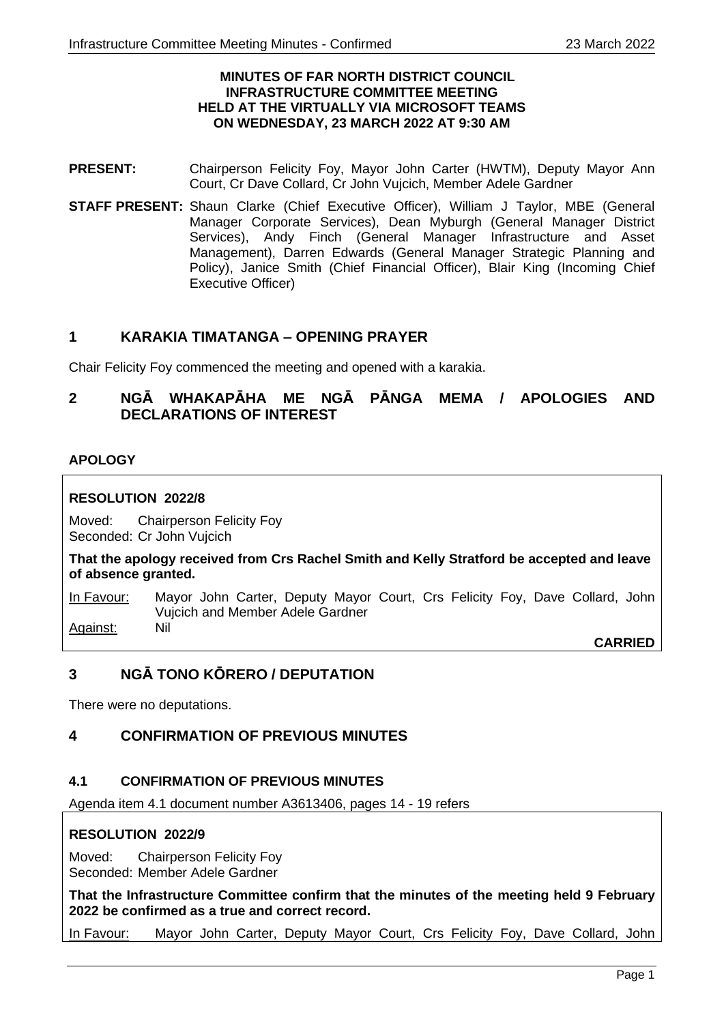#### **MINUTES OF FAR NORTH DISTRICT COUNCIL INFRASTRUCTURE COMMITTEE MEETING HELD AT THE VIRTUALLY VIA MICROSOFT TEAMS ON WEDNESDAY, 23 MARCH 2022 AT 9:30 AM**

- **PRESENT:** Chairperson Felicity Foy, Mayor John Carter (HWTM), Deputy Mayor Ann Court, Cr Dave Collard, Cr John Vujcich, Member Adele Gardner
- **STAFF PRESENT:** Shaun Clarke (Chief Executive Officer), William J Taylor, MBE (General Manager Corporate Services), Dean Myburgh (General Manager District Services), Andy Finch (General Manager Infrastructure and Asset Management), Darren Edwards (General Manager Strategic Planning and Policy), Janice Smith (Chief Financial Officer), Blair King (Incoming Chief Executive Officer)

# **1 KARAKIA TIMATANGA – OPENING PRAYER**

Chair Felicity Foy commenced the meeting and opened with a karakia.

# **2 NGĀ WHAKAPĀHA ME NGĀ PĀNGA MEMA / APOLOGIES AND DECLARATIONS OF INTEREST**

## **APOLOGY**

## **RESOLUTION 2022/8**

Moved: Chairperson Felicity Foy Seconded: Cr John Vujcich

**That the apology received from Crs Rachel Smith and Kelly Stratford be accepted and leave of absence granted.**

In Favour: Mayor John Carter, Deputy Mayor Court, Crs Felicity Foy, Dave Collard, John Vujcich and Member Adele Gardner Against: Nil

**CARRIED**

# **3 NGĀ TONO KŌRERO / DEPUTATION**

There were no deputations.

# **4 CONFIRMATION OF PREVIOUS MINUTES**

#### **4.1 CONFIRMATION OF PREVIOUS MINUTES**

Agenda item 4.1 document number A3613406, pages 14 - 19 refers

#### **RESOLUTION 2022/9**

Moved: Chairperson Felicity Foy Seconded: Member Adele Gardner

**That the Infrastructure Committee confirm that the minutes of the meeting held 9 February 2022 be confirmed as a true and correct record.**

In Favour: Mayor John Carter, Deputy Mayor Court, Crs Felicity Foy, Dave Collard, John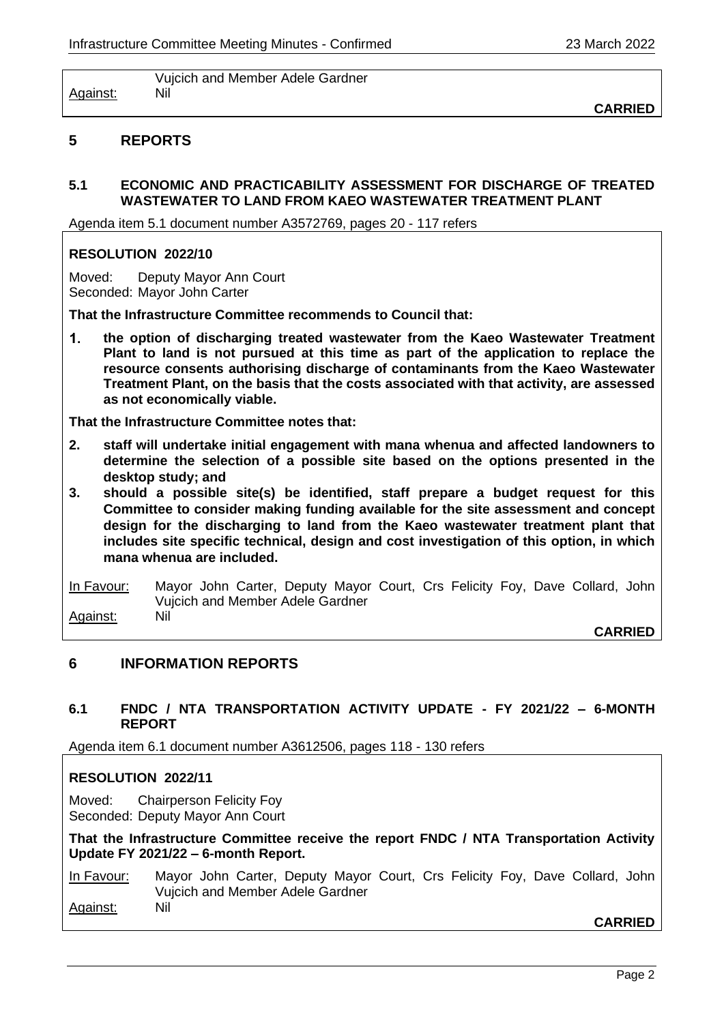Vujcich and Member Adele Gardner Against: Nil

**CARRIED**

## **5 REPORTS**

## **5.1 ECONOMIC AND PRACTICABILITY ASSESSMENT FOR DISCHARGE OF TREATED WASTEWATER TO LAND FROM KAEO WASTEWATER TREATMENT PLANT**

Agenda item 5.1 document number A3572769, pages 20 - 117 refers

#### **RESOLUTION 2022/10**

Moved: Deputy Mayor Ann Court Seconded: Mayor John Carter

**That the Infrastructure Committee recommends to Council that:**

 $1<sub>1</sub>$ **the option of discharging treated wastewater from the Kaeo Wastewater Treatment Plant to land is not pursued at this time as part of the application to replace the resource consents authorising discharge of contaminants from the Kaeo Wastewater Treatment Plant, on the basis that the costs associated with that activity, are assessed as not economically viable.**

**That the Infrastructure Committee notes that:**

- **2. staff will undertake initial engagement with mana whenua and affected landowners to determine the selection of a possible site based on the options presented in the desktop study; and**
- **3. should a possible site(s) be identified, staff prepare a budget request for this Committee to consider making funding available for the site assessment and concept design for the discharging to land from the Kaeo wastewater treatment plant that includes site specific technical, design and cost investigation of this option, in which mana whenua are included.**

In Favour: Mayor John Carter, Deputy Mayor Court, Crs Felicity Foy, Dave Collard, John Vujcich and Member Adele Gardner Against: Nil

**CARRIED**

#### **6 INFORMATION REPORTS**

#### **6.1 FNDC / NTA TRANSPORTATION ACTIVITY UPDATE - FY 2021/22 – 6-MONTH REPORT**

Agenda item 6.1 document number A3612506, pages 118 - 130 refers

#### **RESOLUTION 2022/11**

Moved: Chairperson Felicity Foy Seconded: Deputy Mayor Ann Court

**That the Infrastructure Committee receive the report FNDC / NTA Transportation Activity Update FY 2021/22 – 6-month Report.**

In Favour: Mayor John Carter, Deputy Mayor Court, Crs Felicity Foy, Dave Collard, John Vujcich and Member Adele Gardner Against: Nil

**CARRIED**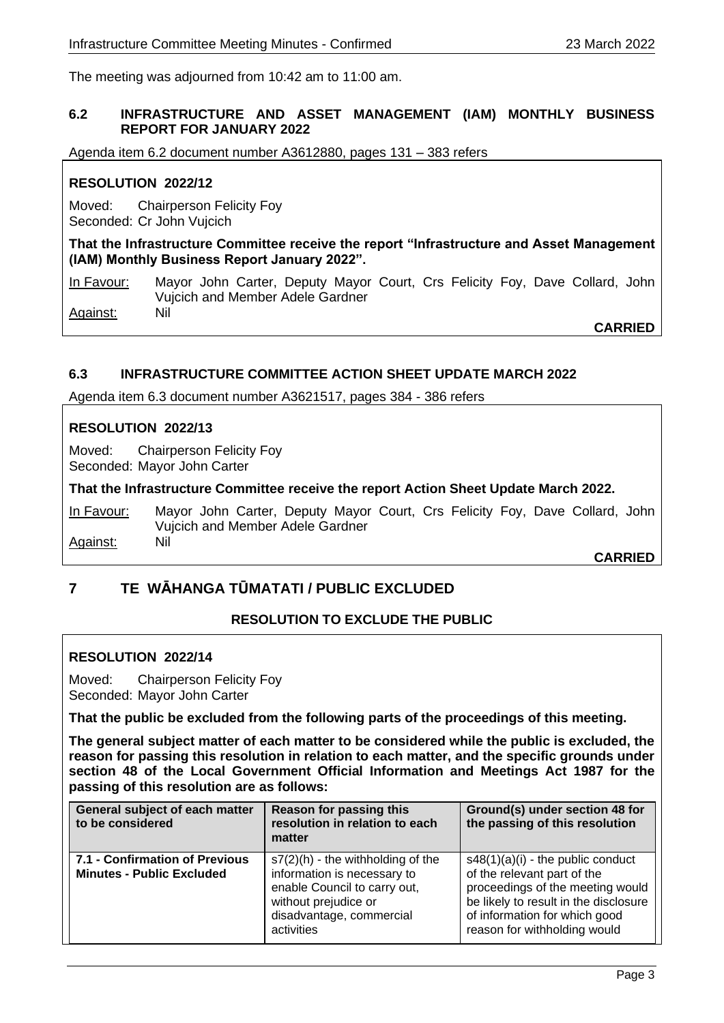The meeting was adjourned from 10:42 am to 11:00 am.

#### **6.2 INFRASTRUCTURE AND ASSET MANAGEMENT (IAM) MONTHLY BUSINESS REPORT FOR JANUARY 2022**

Agenda item 6.2 document number A3612880, pages 131 – 383 refers

## **RESOLUTION 2022/12**

Moved: Chairperson Felicity Foy Seconded: Cr John Vujcich

**That the Infrastructure Committee receive the report "Infrastructure and Asset Management (IAM) Monthly Business Report January 2022".**

In Favour: Mayor John Carter, Deputy Mayor Court, Crs Felicity Foy, Dave Collard, John Vujcich and Member Adele Gardner Against:

**CARRIED**

#### **6.3 INFRASTRUCTURE COMMITTEE ACTION SHEET UPDATE MARCH 2022**

Agenda item 6.3 document number A3621517, pages 384 - 386 refers

#### **RESOLUTION 2022/13**

Moved: Chairperson Felicity Foy Seconded: Mayor John Carter

#### **That the Infrastructure Committee receive the report Action Sheet Update March 2022.**

In Favour: Mayor John Carter, Deputy Mayor Court, Crs Felicity Foy, Dave Collard, John Vujcich and Member Adele Gardner Against: Nil

**CARRIED**

# **7 TE WĀHANGA TŪMATATI / PUBLIC EXCLUDED**

# **RESOLUTION TO EXCLUDE THE PUBLIC**

#### **RESOLUTION 2022/14**

Moved: Chairperson Felicity Foy Seconded: Mayor John Carter

**That the public be excluded from the following parts of the proceedings of this meeting.**

**The general subject matter of each matter to be considered while the public is excluded, the reason for passing this resolution in relation to each matter, and the specific grounds under section 48 of the Local Government Official Information and Meetings Act 1987 for the passing of this resolution are as follows:**

| General subject of each matter<br>to be considered                 | <b>Reason for passing this</b><br>resolution in relation to each<br>matter                                                                                            | Ground(s) under section 48 for<br>the passing of this resolution                                                                                                                                                 |
|--------------------------------------------------------------------|-----------------------------------------------------------------------------------------------------------------------------------------------------------------------|------------------------------------------------------------------------------------------------------------------------------------------------------------------------------------------------------------------|
| 7.1 - Confirmation of Previous<br><b>Minutes - Public Excluded</b> | $s7(2)$ (h) - the withholding of the<br>information is necessary to<br>enable Council to carry out,<br>without prejudice or<br>disadvantage, commercial<br>activities | $s48(1)(a)(i)$ - the public conduct<br>of the relevant part of the<br>proceedings of the meeting would<br>be likely to result in the disclosure<br>of information for which good<br>reason for withholding would |